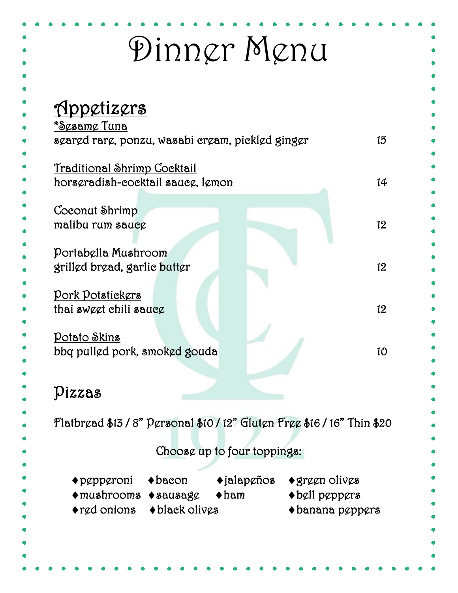| <u>Appetizers</u>                                                                                                                            |                                                    |
|----------------------------------------------------------------------------------------------------------------------------------------------|----------------------------------------------------|
| *S¢sam¢ Tuna<br>szarzd rarz, ponzu, wasabi crzam, picklzd gingzr                                                                             | 15                                                 |
| Traditional Shrimp Cocktail<br>horsgradish-cocktail saucg, lgmon                                                                             | 14                                                 |
| <u>Coconut Shrimp</u>                                                                                                                        |                                                    |
| malibu rum sauce                                                                                                                             | 12                                                 |
| Portabella Mushroom                                                                                                                          |                                                    |
| grilled bread, garlie butter                                                                                                                 | 12 <sup>°</sup>                                    |
| <u> Pork Potstickers</u>                                                                                                                     |                                                    |
| thai swęgt chili saucg                                                                                                                       | 12                                                 |
| Potato Skins                                                                                                                                 |                                                    |
| bbq pulled pork, smoked gouda                                                                                                                | 10                                                 |
|                                                                                                                                              |                                                    |
| Pizzas                                                                                                                                       |                                                    |
| Flatbread \$13/8" Personal \$10/12" Gluten Free \$16/16" Thin \$20                                                                           |                                                    |
|                                                                                                                                              |                                                    |
| Choose up to four toppings:                                                                                                                  |                                                    |
| $\blacklozenge$ jalap $\varrho$ ños<br>$\blacklozenge$ bacon<br>$\blacklozenge$ green olives<br>$\blacklozenge$ p $\varrho$ p $\varrho$ roni |                                                    |
| $\blacklozenge$ bell peppers<br>$\blacklozenge$ mushrooms $\blacklozenge$ sausag $\varrho$<br>$\blacklozenge$ ham                            | $\blacklozenge$ banana p $\varrho$ pp $\varrho$ rs |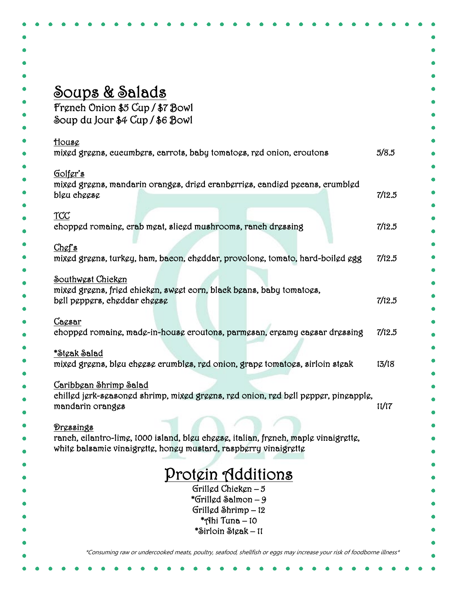| Soups & Salads<br>French Onion \$5 Cup / \$7 Bowl<br>Soup du Jour \$4 Cup / \$6 Bowl<br>House<br>5/8.5<br>mixed greens, eucumbers, carrots, baby tomatoes, red onion, croutons<br>Golfer's<br>mixed greens, mandarin oranges, dried cranberries, candied pecans, crumbled<br>7/12.5<br>blgu chggsg<br>TCC<br>chopped romaine, crab meat, slieed mushrooms, ranch dressing<br>Chef's<br>mixed greens, turkey, ham, bacon, cheddar, provolone, tomato, hard-boiled egg<br>Southwest Chicken<br>mixed greens, fried chicken, sweet corn, black beans, baby tomatoes,<br>bell peppers, cheddar cheese<br>Cacsar<br>7/12.5<br>chopped romaine, made-in-house croutons, parmesan, creamy caesar dressing<br><u>*St¢ak Salad</u><br>13/18<br>mixed greens, bleu cheese crumbles, red onion, grape tomatoes, sirloin steak<br><u> Caribbean Shrimp Salad</u><br>chilled jerk-seasoned shrimp, mixed greens, red onion, red bell pepper, pineapple,<br>mandarin oranges<br>11/17<br>Dressings<br>ranch, cilantro-limę, 1000 island, blęu chęgsę, italian, french, maplę vinaigręttę,<br>white balsamic vinaigrette, honey mustard, raspberry vinaigrette<br>Protein Additions<br>Grillgd Chickgn $-5$<br>*Grilled Salmon – 9<br>Grillgd Shrimp - 12 |                |        |
|--------------------------------------------------------------------------------------------------------------------------------------------------------------------------------------------------------------------------------------------------------------------------------------------------------------------------------------------------------------------------------------------------------------------------------------------------------------------------------------------------------------------------------------------------------------------------------------------------------------------------------------------------------------------------------------------------------------------------------------------------------------------------------------------------------------------------------------------------------------------------------------------------------------------------------------------------------------------------------------------------------------------------------------------------------------------------------------------------------------------------------------------------------------------------------------------------------------------------------------------|----------------|--------|
|                                                                                                                                                                                                                                                                                                                                                                                                                                                                                                                                                                                                                                                                                                                                                                                                                                                                                                                                                                                                                                                                                                                                                                                                                                            |                |        |
|                                                                                                                                                                                                                                                                                                                                                                                                                                                                                                                                                                                                                                                                                                                                                                                                                                                                                                                                                                                                                                                                                                                                                                                                                                            |                |        |
|                                                                                                                                                                                                                                                                                                                                                                                                                                                                                                                                                                                                                                                                                                                                                                                                                                                                                                                                                                                                                                                                                                                                                                                                                                            |                |        |
|                                                                                                                                                                                                                                                                                                                                                                                                                                                                                                                                                                                                                                                                                                                                                                                                                                                                                                                                                                                                                                                                                                                                                                                                                                            |                |        |
|                                                                                                                                                                                                                                                                                                                                                                                                                                                                                                                                                                                                                                                                                                                                                                                                                                                                                                                                                                                                                                                                                                                                                                                                                                            |                |        |
|                                                                                                                                                                                                                                                                                                                                                                                                                                                                                                                                                                                                                                                                                                                                                                                                                                                                                                                                                                                                                                                                                                                                                                                                                                            |                |        |
|                                                                                                                                                                                                                                                                                                                                                                                                                                                                                                                                                                                                                                                                                                                                                                                                                                                                                                                                                                                                                                                                                                                                                                                                                                            |                |        |
|                                                                                                                                                                                                                                                                                                                                                                                                                                                                                                                                                                                                                                                                                                                                                                                                                                                                                                                                                                                                                                                                                                                                                                                                                                            |                |        |
|                                                                                                                                                                                                                                                                                                                                                                                                                                                                                                                                                                                                                                                                                                                                                                                                                                                                                                                                                                                                                                                                                                                                                                                                                                            |                |        |
|                                                                                                                                                                                                                                                                                                                                                                                                                                                                                                                                                                                                                                                                                                                                                                                                                                                                                                                                                                                                                                                                                                                                                                                                                                            |                |        |
|                                                                                                                                                                                                                                                                                                                                                                                                                                                                                                                                                                                                                                                                                                                                                                                                                                                                                                                                                                                                                                                                                                                                                                                                                                            |                |        |
|                                                                                                                                                                                                                                                                                                                                                                                                                                                                                                                                                                                                                                                                                                                                                                                                                                                                                                                                                                                                                                                                                                                                                                                                                                            |                | 7/12.5 |
|                                                                                                                                                                                                                                                                                                                                                                                                                                                                                                                                                                                                                                                                                                                                                                                                                                                                                                                                                                                                                                                                                                                                                                                                                                            |                |        |
|                                                                                                                                                                                                                                                                                                                                                                                                                                                                                                                                                                                                                                                                                                                                                                                                                                                                                                                                                                                                                                                                                                                                                                                                                                            |                | 7/12.5 |
|                                                                                                                                                                                                                                                                                                                                                                                                                                                                                                                                                                                                                                                                                                                                                                                                                                                                                                                                                                                                                                                                                                                                                                                                                                            |                |        |
|                                                                                                                                                                                                                                                                                                                                                                                                                                                                                                                                                                                                                                                                                                                                                                                                                                                                                                                                                                                                                                                                                                                                                                                                                                            |                |        |
|                                                                                                                                                                                                                                                                                                                                                                                                                                                                                                                                                                                                                                                                                                                                                                                                                                                                                                                                                                                                                                                                                                                                                                                                                                            |                | 7/12.5 |
|                                                                                                                                                                                                                                                                                                                                                                                                                                                                                                                                                                                                                                                                                                                                                                                                                                                                                                                                                                                                                                                                                                                                                                                                                                            |                |        |
|                                                                                                                                                                                                                                                                                                                                                                                                                                                                                                                                                                                                                                                                                                                                                                                                                                                                                                                                                                                                                                                                                                                                                                                                                                            |                |        |
|                                                                                                                                                                                                                                                                                                                                                                                                                                                                                                                                                                                                                                                                                                                                                                                                                                                                                                                                                                                                                                                                                                                                                                                                                                            |                |        |
|                                                                                                                                                                                                                                                                                                                                                                                                                                                                                                                                                                                                                                                                                                                                                                                                                                                                                                                                                                                                                                                                                                                                                                                                                                            |                |        |
|                                                                                                                                                                                                                                                                                                                                                                                                                                                                                                                                                                                                                                                                                                                                                                                                                                                                                                                                                                                                                                                                                                                                                                                                                                            |                |        |
|                                                                                                                                                                                                                                                                                                                                                                                                                                                                                                                                                                                                                                                                                                                                                                                                                                                                                                                                                                                                                                                                                                                                                                                                                                            |                |        |
|                                                                                                                                                                                                                                                                                                                                                                                                                                                                                                                                                                                                                                                                                                                                                                                                                                                                                                                                                                                                                                                                                                                                                                                                                                            |                |        |
|                                                                                                                                                                                                                                                                                                                                                                                                                                                                                                                                                                                                                                                                                                                                                                                                                                                                                                                                                                                                                                                                                                                                                                                                                                            |                |        |
|                                                                                                                                                                                                                                                                                                                                                                                                                                                                                                                                                                                                                                                                                                                                                                                                                                                                                                                                                                                                                                                                                                                                                                                                                                            |                |        |
|                                                                                                                                                                                                                                                                                                                                                                                                                                                                                                                                                                                                                                                                                                                                                                                                                                                                                                                                                                                                                                                                                                                                                                                                                                            |                |        |
|                                                                                                                                                                                                                                                                                                                                                                                                                                                                                                                                                                                                                                                                                                                                                                                                                                                                                                                                                                                                                                                                                                                                                                                                                                            |                |        |
|                                                                                                                                                                                                                                                                                                                                                                                                                                                                                                                                                                                                                                                                                                                                                                                                                                                                                                                                                                                                                                                                                                                                                                                                                                            |                |        |
|                                                                                                                                                                                                                                                                                                                                                                                                                                                                                                                                                                                                                                                                                                                                                                                                                                                                                                                                                                                                                                                                                                                                                                                                                                            |                |        |
|                                                                                                                                                                                                                                                                                                                                                                                                                                                                                                                                                                                                                                                                                                                                                                                                                                                                                                                                                                                                                                                                                                                                                                                                                                            |                |        |
|                                                                                                                                                                                                                                                                                                                                                                                                                                                                                                                                                                                                                                                                                                                                                                                                                                                                                                                                                                                                                                                                                                                                                                                                                                            |                |        |
|                                                                                                                                                                                                                                                                                                                                                                                                                                                                                                                                                                                                                                                                                                                                                                                                                                                                                                                                                                                                                                                                                                                                                                                                                                            | *Ahi Tuna – 10 |        |
| *Sirloin Steak – 11                                                                                                                                                                                                                                                                                                                                                                                                                                                                                                                                                                                                                                                                                                                                                                                                                                                                                                                                                                                                                                                                                                                                                                                                                        |                |        |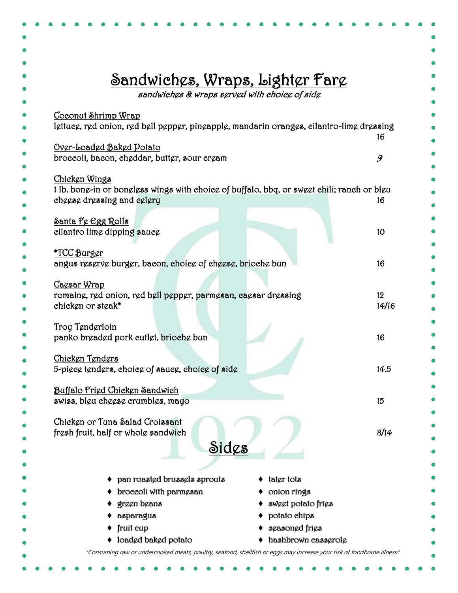|                                                                                            | <u> Sandwiches, Wraps, Lighter Fare</u><br>sandwiches & wraps served with choice of side |  |  |
|--------------------------------------------------------------------------------------------|------------------------------------------------------------------------------------------|--|--|
| <u>Coconut Shrimp Wrap</u>                                                                 |                                                                                          |  |  |
| lettuce, red onion, red bell pepper, pineapple, mandarin oranges, cilantro-lime dressing   |                                                                                          |  |  |
|                                                                                            | 16                                                                                       |  |  |
| Over-Loaded Baked Potato<br>broccoli, bacon, cheddar, butter, sour cream                   |                                                                                          |  |  |
|                                                                                            | 9                                                                                        |  |  |
| Chicken Wings                                                                              |                                                                                          |  |  |
| 1 lb. bong-in or bonglgss wings with choicg of buffalo, bbq, or swegt chili; ranch or blgu |                                                                                          |  |  |
| cheese dressing and celery                                                                 | 16                                                                                       |  |  |
| <u>Santa Fe Egg Rolls</u>                                                                  |                                                                                          |  |  |
| cilantro lime dipping sauce                                                                | 10                                                                                       |  |  |
|                                                                                            |                                                                                          |  |  |
| <u>*TCC Burger</u>                                                                         |                                                                                          |  |  |
| angus reserve burger, bacon, choice of cheese, brioche bun                                 | 16                                                                                       |  |  |
| Cagsar Wrap                                                                                |                                                                                          |  |  |
| romaing, red onion, red bell pepper, parmesan, caesar dressing                             | 12 <sup>°</sup>                                                                          |  |  |
| chicken or steak*                                                                          | 14/16                                                                                    |  |  |
|                                                                                            |                                                                                          |  |  |
| <u>Troy Tenderloin</u><br>panko brgadgd pork cutlgt, briochg bun                           | 16                                                                                       |  |  |
|                                                                                            |                                                                                          |  |  |
| Chicken Tenders                                                                            |                                                                                          |  |  |
| 5-piece tenders, choice of sauce, choice of side                                           | 14.5                                                                                     |  |  |
|                                                                                            |                                                                                          |  |  |
| Buffalo Frigd Chicken Sandwich<br>swiss, bleu cheese crumbles, mayo                        | 15                                                                                       |  |  |
|                                                                                            |                                                                                          |  |  |
| Chicken or Tuna Salad Croissant                                                            |                                                                                          |  |  |
| fresh fruit, half or whole sandwich                                                        | 8/14                                                                                     |  |  |
| Sidcs                                                                                      |                                                                                          |  |  |
|                                                                                            |                                                                                          |  |  |
| tatgr tots                                                                                 |                                                                                          |  |  |
| pan roasted brussels sprouts<br>broccoli with parmesan                                     |                                                                                          |  |  |
| onion rings<br>green beans                                                                 | sweet potato fries                                                                       |  |  |
| potato chips<br>asparagus                                                                  |                                                                                          |  |  |
| sgasongd frigs<br>fruit cup                                                                |                                                                                          |  |  |
| loadgd bakgd potato                                                                        | hashbrown cassgrolg                                                                      |  |  |